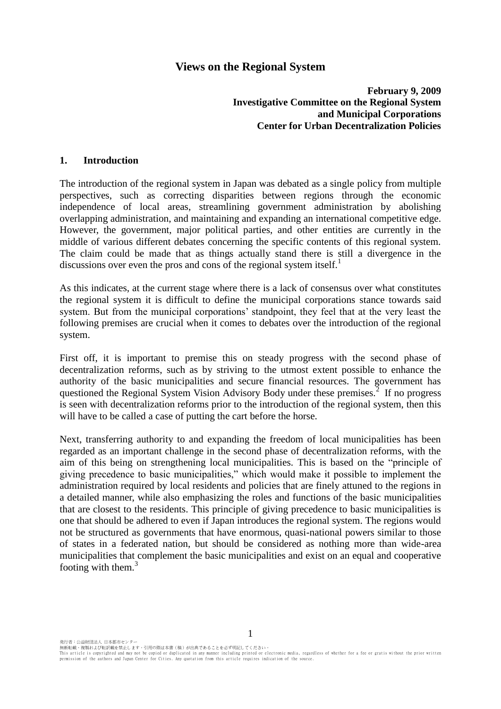# **Views on the Regional System**

**February 9, 2009 Investigative Committee on the Regional System and Municipal Corporations Center for Urban Decentralization Policies**

#### **1. Introduction**

The introduction of the regional system in Japan was debated as a single policy from multiple perspectives, such as correcting disparities between regions through the economic independence of local areas, streamlining government administration by abolishing overlapping administration, and maintaining and expanding an international competitive edge. However, the government, major political parties, and other entities are currently in the middle of various different debates concerning the specific contents of this regional system. The claim could be made that as things actually stand there is still a divergence in the discussions over even the pros and cons of the regional system itself.<sup>1</sup>

As this indicates, at the current stage where there is a lack of consensus over what constitutes the regional system it is difficult to define the municipal corporations stance towards said system. But from the municipal corporations' standpoint, they feel that at the very least the following premises are crucial when it comes to debates over the introduction of the regional system.

First off, it is important to premise this on steady progress with the second phase of decentralization reforms, such as by striving to the utmost extent possible to enhance the authority of the basic municipalities and secure financial resources. The government has questioned the Regional System Vision Advisory Body under these premises.<sup>2</sup> If no progress is seen with decentralization reforms prior to the introduction of the regional system, then this will have to be called a case of putting the cart before the horse.

Next, transferring authority to and expanding the freedom of local municipalities has been regarded as an important challenge in the second phase of decentralization reforms, with the aim of this being on strengthening local municipalities. This is based on the "principle of giving precedence to basic municipalities," which would make it possible to implement the administration required by local residents and policies that are finely attuned to the regions in a detailed manner, while also emphasizing the roles and functions of the basic municipalities that are closest to the residents. This principle of giving precedence to basic municipalities is one that should be adhered to even if Japan introduces the regional system. The regions would not be structured as governments that have enormous, quasi-national powers similar to those of states in a federated nation, but should be considered as nothing more than wide-area municipalities that complement the basic municipalities and exist on an equal and cooperative footing with them.<sup>3</sup>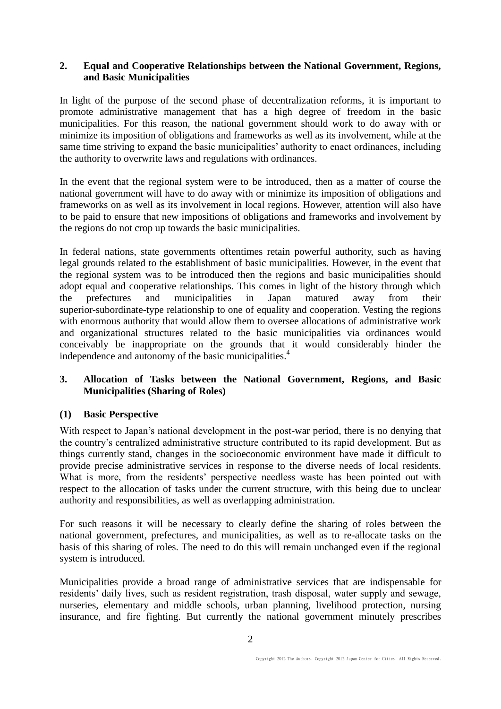## **2. Equal and Cooperative Relationships between the National Government, Regions, and Basic Municipalities**

In light of the purpose of the second phase of decentralization reforms, it is important to promote administrative management that has a high degree of freedom in the basic municipalities. For this reason, the national government should work to do away with or minimize its imposition of obligations and frameworks as well as its involvement, while at the same time striving to expand the basic municipalities' authority to enact ordinances, including the authority to overwrite laws and regulations with ordinances.

In the event that the regional system were to be introduced, then as a matter of course the national government will have to do away with or minimize its imposition of obligations and frameworks on as well as its involvement in local regions. However, attention will also have to be paid to ensure that new impositions of obligations and frameworks and involvement by the regions do not crop up towards the basic municipalities.

In federal nations, state governments oftentimes retain powerful authority, such as having legal grounds related to the establishment of basic municipalities. However, in the event that the regional system was to be introduced then the regions and basic municipalities should adopt equal and cooperative relationships. This comes in light of the history through which the prefectures and municipalities in Japan matured away from their superior-subordinate-type relationship to one of equality and cooperation. Vesting the regions with enormous authority that would allow them to oversee allocations of administrative work and organizational structures related to the basic municipalities via ordinances would conceivably be inappropriate on the grounds that it would considerably hinder the independence and autonomy of the basic municipalities.<sup>4</sup>

# **3. Allocation of Tasks between the National Government, Regions, and Basic Municipalities (Sharing of Roles)**

### **(1) Basic Perspective**

With respect to Japan's national development in the post-war period, there is no denying that the country's centralized administrative structure contributed to its rapid development. But as things currently stand, changes in the socioeconomic environment have made it difficult to provide precise administrative services in response to the diverse needs of local residents. What is more, from the residents' perspective needless waste has been pointed out with respect to the allocation of tasks under the current structure, with this being due to unclear authority and responsibilities, as well as overlapping administration.

For such reasons it will be necessary to clearly define the sharing of roles between the national government, prefectures, and municipalities, as well as to re-allocate tasks on the basis of this sharing of roles. The need to do this will remain unchanged even if the regional system is introduced.

Municipalities provide a broad range of administrative services that are indispensable for residents' daily lives, such as resident registration, trash disposal, water supply and sewage, nurseries, elementary and middle schools, urban planning, livelihood protection, nursing insurance, and fire fighting. But currently the national government minutely prescribes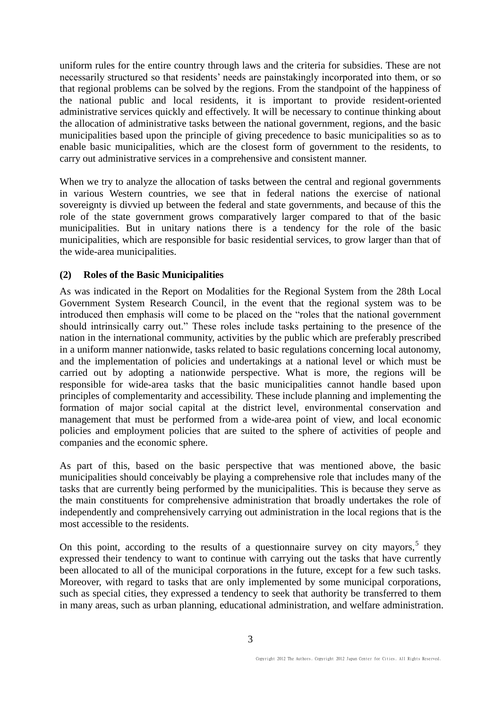uniform rules for the entire country through laws and the criteria for subsidies. These are not necessarily structured so that residents' needs are painstakingly incorporated into them, or so that regional problems can be solved by the regions. From the standpoint of the happiness of the national public and local residents, it is important to provide resident-oriented administrative services quickly and effectively. It will be necessary to continue thinking about the allocation of administrative tasks between the national government, regions, and the basic municipalities based upon the principle of giving precedence to basic municipalities so as to enable basic municipalities, which are the closest form of government to the residents, to carry out administrative services in a comprehensive and consistent manner.

When we try to analyze the allocation of tasks between the central and regional governments in various Western countries, we see that in federal nations the exercise of national sovereignty is divvied up between the federal and state governments, and because of this the role of the state government grows comparatively larger compared to that of the basic municipalities. But in unitary nations there is a tendency for the role of the basic municipalities, which are responsible for basic residential services, to grow larger than that of the wide-area municipalities.

#### **(2) Roles of the Basic Municipalities**

As was indicated in the Report on Modalities for the Regional System from the 28th Local Government System Research Council, in the event that the regional system was to be introduced then emphasis will come to be placed on the "roles that the national government should intrinsically carry out." These roles include tasks pertaining to the presence of the nation in the international community, activities by the public which are preferably prescribed in a uniform manner nationwide, tasks related to basic regulations concerning local autonomy, and the implementation of policies and undertakings at a national level or which must be carried out by adopting a nationwide perspective. What is more, the regions will be responsible for wide-area tasks that the basic municipalities cannot handle based upon principles of complementarity and accessibility. These include planning and implementing the formation of major social capital at the district level, environmental conservation and management that must be performed from a wide-area point of view, and local economic policies and employment policies that are suited to the sphere of activities of people and companies and the economic sphere.

As part of this, based on the basic perspective that was mentioned above, the basic municipalities should conceivably be playing a comprehensive role that includes many of the tasks that are currently being performed by the municipalities. This is because they serve as the main constituents for comprehensive administration that broadly undertakes the role of independently and comprehensively carrying out administration in the local regions that is the most accessible to the residents.

On this point, according to the results of a questionnaire survey on city mayors,  $5$  they expressed their tendency to want to continue with carrying out the tasks that have currently been allocated to all of the municipal corporations in the future, except for a few such tasks. Moreover, with regard to tasks that are only implemented by some municipal corporations, such as special cities, they expressed a tendency to seek that authority be transferred to them in many areas, such as urban planning, educational administration, and welfare administration.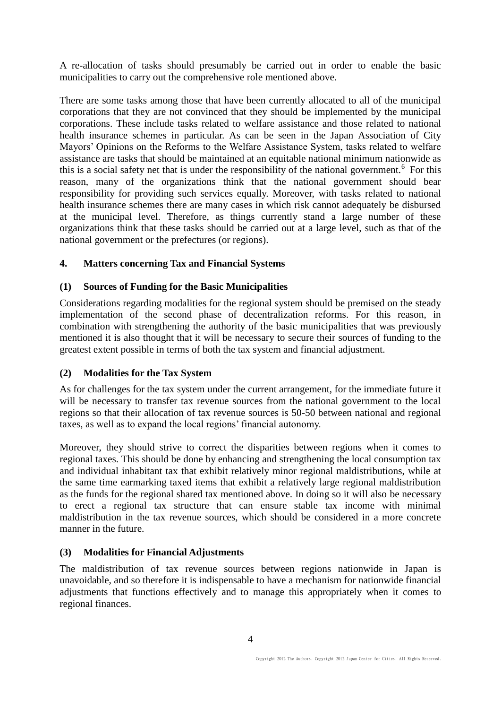A re-allocation of tasks should presumably be carried out in order to enable the basic municipalities to carry out the comprehensive role mentioned above.

There are some tasks among those that have been currently allocated to all of the municipal corporations that they are not convinced that they should be implemented by the municipal corporations. These include tasks related to welfare assistance and those related to national health insurance schemes in particular. As can be seen in the Japan Association of City Mayors' Opinions on the Reforms to the Welfare Assistance System, tasks related to welfare assistance are tasks that should be maintained at an equitable national minimum nationwide as this is a social safety net that is under the responsibility of the national government.<sup>6</sup> For this reason, many of the organizations think that the national government should bear responsibility for providing such services equally. Moreover, with tasks related to national health insurance schemes there are many cases in which risk cannot adequately be disbursed at the municipal level. Therefore, as things currently stand a large number of these organizations think that these tasks should be carried out at a large level, such as that of the national government or the prefectures (or regions).

### **4. Matters concerning Tax and Financial Systems**

# **(1) Sources of Funding for the Basic Municipalities**

Considerations regarding modalities for the regional system should be premised on the steady implementation of the second phase of decentralization reforms. For this reason, in combination with strengthening the authority of the basic municipalities that was previously mentioned it is also thought that it will be necessary to secure their sources of funding to the greatest extent possible in terms of both the tax system and financial adjustment.

### **(2) Modalities for the Tax System**

As for challenges for the tax system under the current arrangement, for the immediate future it will be necessary to transfer tax revenue sources from the national government to the local regions so that their allocation of tax revenue sources is 50-50 between national and regional taxes, as well as to expand the local regions' financial autonomy.

Moreover, they should strive to correct the disparities between regions when it comes to regional taxes. This should be done by enhancing and strengthening the local consumption tax and individual inhabitant tax that exhibit relatively minor regional maldistributions, while at the same time earmarking taxed items that exhibit a relatively large regional maldistribution as the funds for the regional shared tax mentioned above. In doing so it will also be necessary to erect a regional tax structure that can ensure stable tax income with minimal maldistribution in the tax revenue sources, which should be considered in a more concrete manner in the future.

### **(3) Modalities for Financial Adjustments**

The maldistribution of tax revenue sources between regions nationwide in Japan is unavoidable, and so therefore it is indispensable to have a mechanism for nationwide financial adjustments that functions effectively and to manage this appropriately when it comes to regional finances.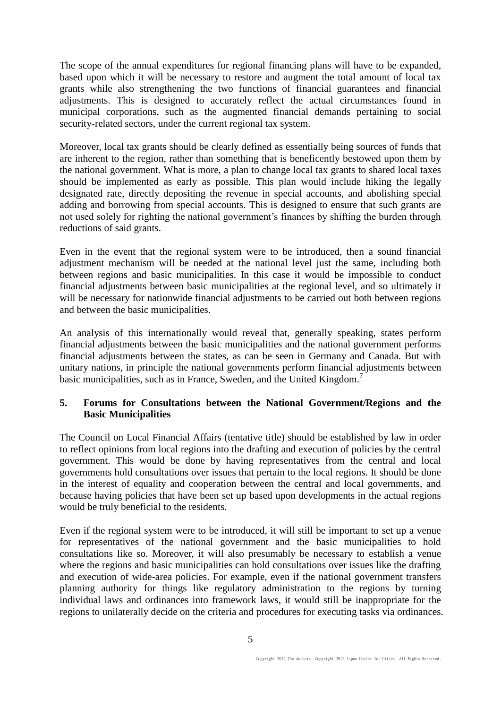The scope of the annual expenditures for regional financing plans will have to be expanded, based upon which it will be necessary to restore and augment the total amount of local tax grants while also strengthening the two functions of financial guarantees and financial adjustments. This is designed to accurately reflect the actual circumstances found in municipal corporations, such as the augmented financial demands pertaining to social security-related sectors, under the current regional tax system.

Moreover, local tax grants should be clearly defined as essentially being sources of funds that are inherent to the region, rather than something that is beneficently bestowed upon them by the national government. What is more, a plan to change local tax grants to shared local taxes should be implemented as early as possible. This plan would include hiking the legally designated rate, directly depositing the revenue in special accounts, and abolishing special adding and borrowing from special accounts. This is designed to ensure that such grants are not used solely for righting the national government's finances by shifting the burden through reductions of said grants.

Even in the event that the regional system were to be introduced, then a sound financial adjustment mechanism will be needed at the national level just the same, including both between regions and basic municipalities. In this case it would be impossible to conduct financial adjustments between basic municipalities at the regional level, and so ultimately it will be necessary for nationwide financial adjustments to be carried out both between regions and between the basic municipalities.

An analysis of this internationally would reveal that, generally speaking, states perform financial adjustments between the basic municipalities and the national government performs financial adjustments between the states, as can be seen in Germany and Canada. But with unitary nations, in principle the national governments perform financial adjustments between basic municipalities, such as in France, Sweden, and the United Kingdom.<sup>7</sup>

### **5. Forums for Consultations between the National Government/Regions and the Basic Municipalities**

The Council on Local Financial Affairs (tentative title) should be established by law in order to reflect opinions from local regions into the drafting and execution of policies by the central government. This would be done by having representatives from the central and local governments hold consultations over issues that pertain to the local regions. It should be done in the interest of equality and cooperation between the central and local governments, and because having policies that have been set up based upon developments in the actual regions would be truly beneficial to the residents.

Even if the regional system were to be introduced, it will still be important to set up a venue for representatives of the national government and the basic municipalities to hold consultations like so. Moreover, it will also presumably be necessary to establish a venue where the regions and basic municipalities can hold consultations over issues like the drafting and execution of wide-area policies. For example, even if the national government transfers planning authority for things like regulatory administration to the regions by turning individual laws and ordinances into framework laws, it would still be inappropriate for the regions to unilaterally decide on the criteria and procedures for executing tasks via ordinances.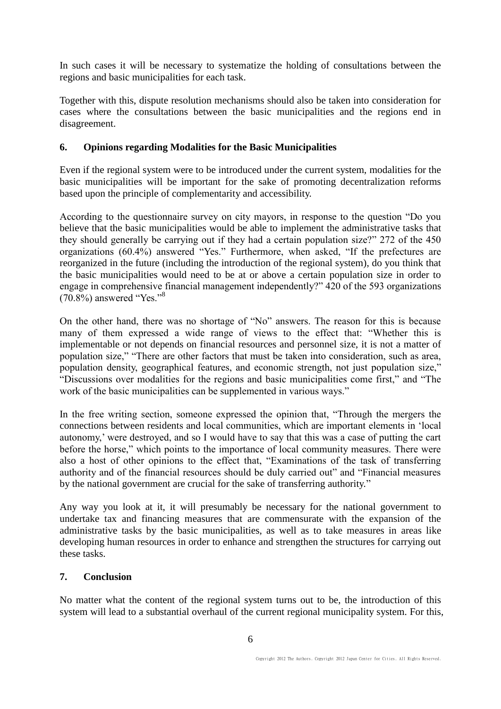In such cases it will be necessary to systematize the holding of consultations between the regions and basic municipalities for each task.

Together with this, dispute resolution mechanisms should also be taken into consideration for cases where the consultations between the basic municipalities and the regions end in disagreement.

### **6. Opinions regarding Modalities for the Basic Municipalities**

Even if the regional system were to be introduced under the current system, modalities for the basic municipalities will be important for the sake of promoting decentralization reforms based upon the principle of complementarity and accessibility.

According to the questionnaire survey on city mayors, in response to the question "Do you believe that the basic municipalities would be able to implement the administrative tasks that they should generally be carrying out if they had a certain population size?" 272 of the 450 organizations (60.4%) answered "Yes." Furthermore, when asked, "If the prefectures are reorganized in the future (including the introduction of the regional system), do you think that the basic municipalities would need to be at or above a certain population size in order to engage in comprehensive financial management independently?" 420 of the 593 organizations  $(70.8\%)$  answered "Yes."<sup>8</sup>

On the other hand, there was no shortage of "No" answers. The reason for this is because many of them expressed a wide range of views to the effect that: "Whether this is implementable or not depends on financial resources and personnel size, it is not a matter of population size," "There are other factors that must be taken into consideration, such as area, population density, geographical features, and economic strength, not just population size," "Discussions over modalities for the regions and basic municipalities come first," and "The work of the basic municipalities can be supplemented in various ways."

In the free writing section, someone expressed the opinion that, "Through the mergers the connections between residents and local communities, which are important elements in 'local autonomy,' were destroyed, and so I would have to say that this was a case of putting the cart before the horse," which points to the importance of local community measures. There were also a host of other opinions to the effect that, "Examinations of the task of transferring authority and of the financial resources should be duly carried out" and "Financial measures by the national government are crucial for the sake of transferring authority."

Any way you look at it, it will presumably be necessary for the national government to undertake tax and financing measures that are commensurate with the expansion of the administrative tasks by the basic municipalities, as well as to take measures in areas like developing human resources in order to enhance and strengthen the structures for carrying out these tasks.

### **7. Conclusion**

No matter what the content of the regional system turns out to be, the introduction of this system will lead to a substantial overhaul of the current regional municipality system. For this,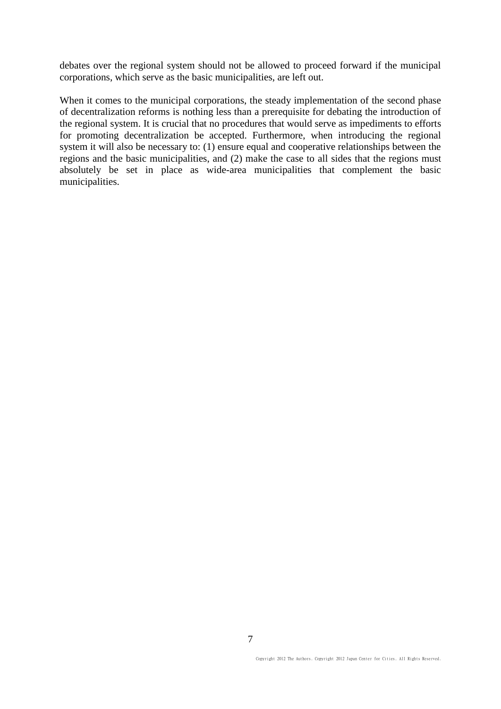debates over the regional system should not be allowed to proceed forward if the municipal corporations, which serve as the basic municipalities, are left out.

When it comes to the municipal corporations, the steady implementation of the second phase of decentralization reforms is nothing less than a prerequisite for debating the introduction of the regional system. It is crucial that no procedures that would serve as impediments to efforts for promoting decentralization be accepted. Furthermore, when introducing the regional system it will also be necessary to: (1) ensure equal and cooperative relationships between the regions and the basic municipalities, and (2) make the case to all sides that the regions must absolutely be set in place as wide-area municipalities that complement the basic municipalities.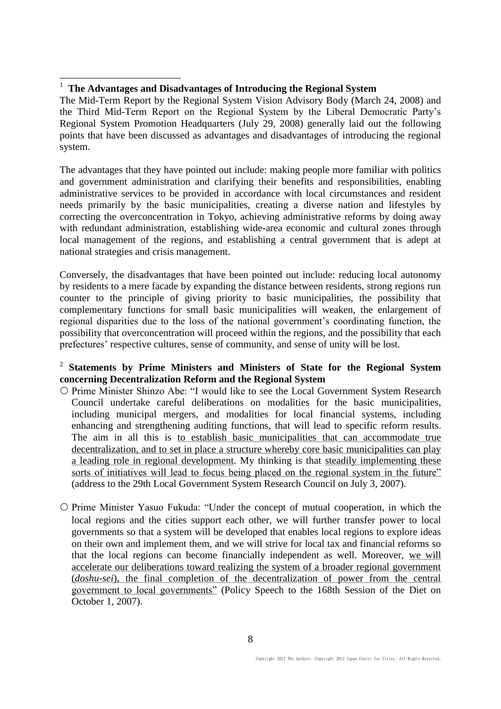# <sup>1</sup> **The Advantages and Disadvantages of Introducing the Regional System**

 $\overline{a}$ 

The Mid-Term Report by the Regional System Vision Advisory Body (March 24, 2008) and the Third Mid-Term Report on the Regional System by the Liberal Democratic Party's Regional System Promotion Headquarters (July 29, 2008) generally laid out the following points that have been discussed as advantages and disadvantages of introducing the regional system.

The advantages that they have pointed out include: making people more familiar with politics and government administration and clarifying their benefits and responsibilities, enabling administrative services to be provided in accordance with local circumstances and resident needs primarily by the basic municipalities, creating a diverse nation and lifestyles by correcting the overconcentration in Tokyo, achieving administrative reforms by doing away with redundant administration, establishing wide-area economic and cultural zones through local management of the regions, and establishing a central government that is adept at national strategies and crisis management.

Conversely, the disadvantages that have been pointed out include: reducing local autonomy by residents to a mere facade by expanding the distance between residents, strong regions run counter to the principle of giving priority to basic municipalities, the possibility that complementary functions for small basic municipalities will weaken, the enlargement of regional disparities due to the loss of the national government's coordinating function, the possibility that overconcentration will proceed within the regions, and the possibility that each prefectures' respective cultures, sense of community, and sense of unity will be lost.

## 2 **Statements by Prime Ministers and Ministers of State for the Regional System concerning Decentralization Reform and the Regional System**

- O Prime Minister Shinzo Abe: "I would like to see the Local Government System Research Council undertake careful deliberations on modalities for the basic municipalities, including municipal mergers, and modalities for local financial systems, including enhancing and strengthening auditing functions, that will lead to specific reform results. The aim in all this is to establish basic municipalities that can accommodate true decentralization, and to set in place a structure whereby core basic municipalities can play a leading role in regional development. My thinking is that steadily implementing these sorts of initiatives will lead to focus being placed on the regional system in the future" (address to the 29th Local Government System Research Council on July 3, 2007).
- $\circ$  Prime Minister Yasuo Fukuda: "Under the concept of mutual cooperation, in which the local regions and the cities support each other, we will further transfer power to local governments so that a system will be developed that enables local regions to explore ideas on their own and implement them, and we will strive for local tax and financial reforms so that the local regions can become financially independent as well. Moreover, we will accelerate our deliberations toward realizing the system of a broader regional government (*doshu-sei*), the final completion of the decentralization of power from the central government to local governments" (Policy Speech to the 168th Session of the Diet on October 1, 2007).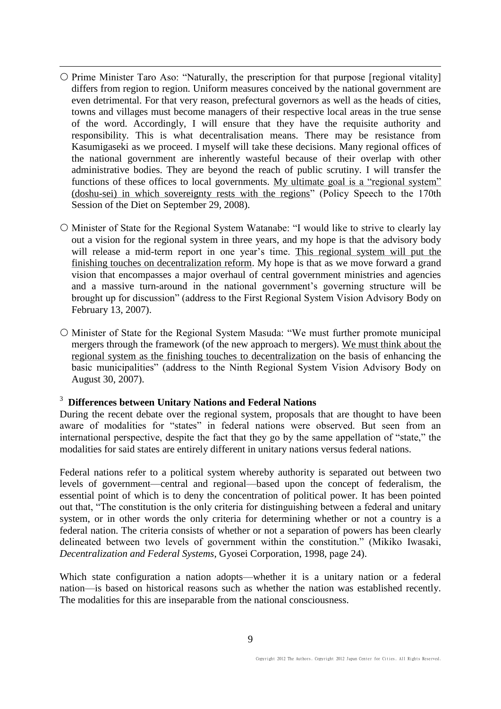- $\circ$  Prime Minister Taro Aso: "Naturally, the prescription for that purpose [regional vitality] differs from region to region. Uniform measures conceived by the national government are even detrimental. For that very reason, prefectural governors as well as the heads of cities, towns and villages must become managers of their respective local areas in the true sense of the word. Accordingly, I will ensure that they have the requisite authority and responsibility. This is what decentralisation means. There may be resistance from Kasumigaseki as we proceed. I myself will take these decisions. Many regional offices of the national government are inherently wasteful because of their overlap with other administrative bodies. They are beyond the reach of public scrutiny. I will transfer the functions of these offices to local governments. My ultimate goal is a "regional system" (doshu-sei) in which sovereignty rests with the regions" (Policy Speech to the 170th Session of the Diet on September 29, 2008).
- $\circ$  Minister of State for the Regional System Watanabe: "I would like to strive to clearly lay out a vision for the regional system in three years, and my hope is that the advisory body will release a mid-term report in one year's time. This regional system will put the finishing touches on decentralization reform. My hope is that as we move forward a grand vision that encompasses a major overhaul of central government ministries and agencies and a massive turn-around in the national government's governing structure will be brought up for discussion" (address to the First Regional System Vision Advisory Body on February 13, 2007).
- Minister of State for the Regional System Masuda: "We must further promote municipal mergers through the framework (of the new approach to mergers). We must think about the regional system as the finishing touches to decentralization on the basis of enhancing the basic municipalities" (address to the Ninth Regional System Vision Advisory Body on August 30, 2007).

#### <sup>3</sup> **Differences between Unitary Nations and Federal Nations**

 $\overline{a}$ 

During the recent debate over the regional system, proposals that are thought to have been aware of modalities for "states" in federal nations were observed. But seen from an international perspective, despite the fact that they go by the same appellation of "state," the modalities for said states are entirely different in unitary nations versus federal nations.

Federal nations refer to a political system whereby authority is separated out between two levels of government—central and regional—based upon the concept of federalism, the essential point of which is to deny the concentration of political power. It has been pointed out that, "The constitution is the only criteria for distinguishing between a federal and unitary system, or in other words the only criteria for determining whether or not a country is a federal nation. The criteria consists of whether or not a separation of powers has been clearly delineated between two levels of government within the constitution." (Mikiko Iwasaki, *Decentralization and Federal Systems*, Gyosei Corporation, 1998, page 24).

Which state configuration a nation adopts—whether it is a unitary nation or a federal nation—is based on historical reasons such as whether the nation was established recently. The modalities for this are inseparable from the national consciousness.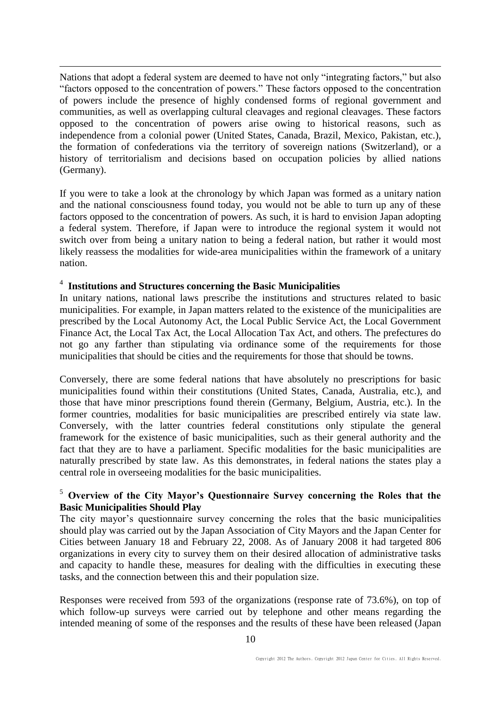$\overline{a}$ Nations that adopt a federal system are deemed to have not only "integrating factors," but also "factors opposed to the concentration of powers." These factors opposed to the concentration of powers include the presence of highly condensed forms of regional government and communities, as well as overlapping cultural cleavages and regional cleavages. These factors opposed to the concentration of powers arise owing to historical reasons, such as independence from a colonial power (United States, Canada, Brazil, Mexico, Pakistan, etc.), the formation of confederations via the territory of sovereign nations (Switzerland), or a history of territorialism and decisions based on occupation policies by allied nations (Germany).

If you were to take a look at the chronology by which Japan was formed as a unitary nation and the national consciousness found today, you would not be able to turn up any of these factors opposed to the concentration of powers. As such, it is hard to envision Japan adopting a federal system. Therefore, if Japan were to introduce the regional system it would not switch over from being a unitary nation to being a federal nation, but rather it would most likely reassess the modalities for wide-area municipalities within the framework of a unitary nation.

# 4 **Institutions and Structures concerning the Basic Municipalities**

In unitary nations, national laws prescribe the institutions and structures related to basic municipalities. For example, in Japan matters related to the existence of the municipalities are prescribed by the Local Autonomy Act, the Local Public Service Act, the Local Government Finance Act, the Local Tax Act, the Local Allocation Tax Act, and others. The prefectures do not go any farther than stipulating via ordinance some of the requirements for those municipalities that should be cities and the requirements for those that should be towns.

Conversely, there are some federal nations that have absolutely no prescriptions for basic municipalities found within their constitutions (United States, Canada, Australia, etc.), and those that have minor prescriptions found therein (Germany, Belgium, Austria, etc.). In the former countries, modalities for basic municipalities are prescribed entirely via state law. Conversely, with the latter countries federal constitutions only stipulate the general framework for the existence of basic municipalities, such as their general authority and the fact that they are to have a parliament. Specific modalities for the basic municipalities are naturally prescribed by state law. As this demonstrates, in federal nations the states play a central role in overseeing modalities for the basic municipalities.

### <sup>5</sup> **Overview of the City Mayor's Questionnaire Survey concerning the Roles that the Basic Municipalities Should Play**

The city mayor's questionnaire survey concerning the roles that the basic municipalities should play was carried out by the Japan Association of City Mayors and the Japan Center for Cities between January 18 and February 22, 2008. As of January 2008 it had targeted 806 organizations in every city to survey them on their desired allocation of administrative tasks and capacity to handle these, measures for dealing with the difficulties in executing these tasks, and the connection between this and their population size.

Responses were received from 593 of the organizations (response rate of 73.6%), on top of which follow-up surveys were carried out by telephone and other means regarding the intended meaning of some of the responses and the results of these have been released (Japan